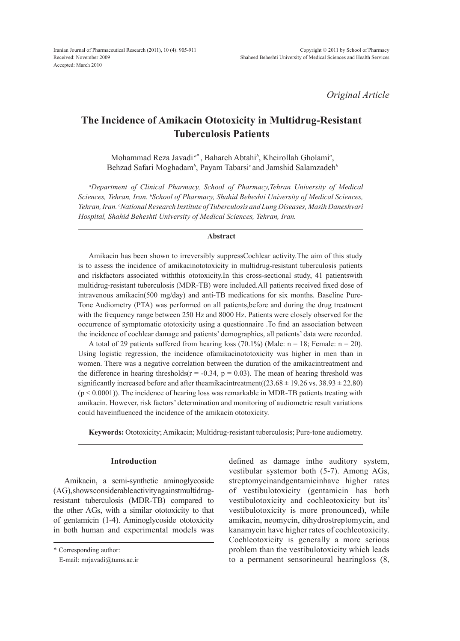*Original Article*

# **The Incidence of Amikacin Ototoxicity in Multidrug-Resistant Tuberculosis Patients**

Mohammad Reza Javadi *a\** , Bahareh Abtahi*<sup>b</sup>* , Kheirollah Gholami*<sup>a</sup>* , Behzad Safari Moghadam*<sup>b</sup>* , Payam Tabarsi*<sup>c</sup>* and Jamshid Salamzadeh*<sup>b</sup>*

*a Department of Clinical Pharmacy, School of Pharmacy,Tehran University of Medical Sciences, Tehran, Iran. b School of Pharmacy, Shahid Beheshti University of Medical Sciences, Tehran, Iran. c National Research Institute of Tuberculosis and Lung Diseases, Masih Daneshvari Hospital, Shahid Beheshti University of Medical Sciences, Tehran, Iran.*

### **Abstract**

Amikacin has been shown to irreversibly suppressCochlear activity.The aim of this study is to assess the incidence of amikacinototoxicity in multidrug-resistant tuberculosis patients and riskfactors associated withthis ototoxicity.In this cross-sectional study, 41 patientswith multidrug-resistant tuberculosis (MDR-TB) were included.All patients received fixed dose of intravenous amikacin(500 mg/day) and anti-TB medications for six months. Baseline Pure-Tone Audiometry (PTA) was performed on all patients,before and during the drug treatment with the frequency range between 250 Hz and 8000 Hz. Patients were closely observed for the occurrence of symptomatic ototoxicity using a questionnaire .To find an association between the incidence of cochlear damage and patients' demographics, all patients' data were recorded.

A total of 29 patients suffered from hearing loss (70.1%) (Male:  $n = 18$ ; Female:  $n = 20$ ). Using logistic regression, the incidence ofamikacinototoxicity was higher in men than in women. There was a negative correlation between the duration of the amikacintreatment and the difference in hearing thresholds( $r = -0.34$ ,  $p = 0.03$ ). The mean of hearing threshold was significantly increased before and after theamikacintreatment( $(23.68 \pm 19.26 \text{ vs. } 38.93 \pm 22.80)$ )  $(p < 0.0001)$ ). The incidence of hearing loss was remarkable in MDR-TB patients treating with amikacin. However, risk factors' determination and monitoring of audiometric result variations could haveinfluenced the incidence of the amikacin ototoxicity.

**Keywords:** Ototoxicity; Amikacin; Multidrug-resistant tuberculosis; Pure-tone audiometry.

#### **Introduction**

Amikacin, a semi-synthetic aminoglycoside (AG), shows considerable activity againstmultidrugresistant tuberculosis (MDR-TB) compared to the other AGs, with a similar ototoxicity to that of gentamicin (1-4). Aminoglycoside ototoxicity in both human and experimental models was

\* Corresponding author:

defined as damage inthe auditory system, vestibular systemor both (5-7). Among AGs, streptomycinandgentamicinhave higher rates of vestibulotoxicity (gentamicin has both vestibulotoxicity and cochleotoxicity but its' vestibulotoxicity is more pronounced), while amikacin, neomycin, dihydrostreptomycin, and kanamycin have higher rates of cochleotoxicity. Cochleotoxicity is generally a more serious problem than the vestibulotoxicity which leads to a permanent sensorineural hearingloss (8,

E-mail: mrjavadi@tums.ac.ir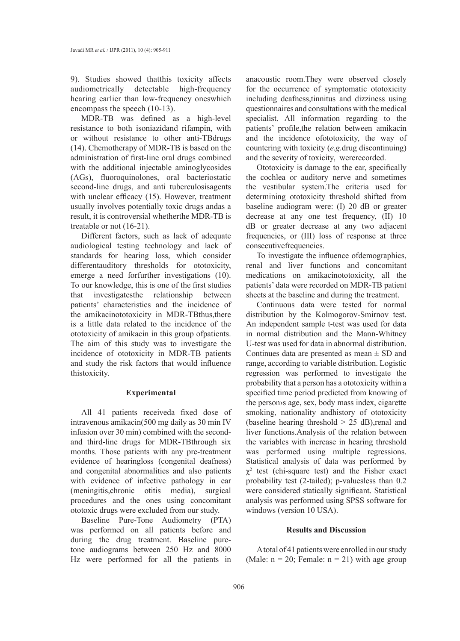9). Studies showed thatthis toxicity affects audiometrically detectable high-frequency hearing earlier than low-frequency oneswhich encompass the speech (10-13).

MDR-TB was defined as a high-level resistance to both isoniazidand rifampin, with or without resistance to other anti-TBdrugs (14). Chemotherapy of MDR-TB is based on the administration of first-line oral drugs combined with the additional injectable aminoglycosides (AGs), fluoroquinolones, oral bacteriostatic second-line drugs, and anti tuberculosisagents with unclear efficacy (15). However, treatment usually involves potentially toxic drugs andas a result, it is controversial whetherthe MDR-TB is treatable or not (16-21).

Different factors, such as lack of adequate audiological testing technology and lack of standards for hearing loss, which consider differentauditory thresholds for ototoxicity, emerge a need forfurther investigations (10). To our knowledge, this is one of the first studies that investigatesthe relationship between patients' characteristics and the incidence of the amikacinototoxicity in MDR-TBthus,there is a little data related to the incidence of the ototoxicity of amikacin in this group ofpatients. The aim of this study was to investigate the incidence of ototoxicity in MDR-TB patients and study the risk factors that would influence thistoxicity.

### **Experimental**

All 41 patients receiveda fixed dose of intravenous amikacin(500 mg daily as 30 min IV infusion over 30 min) combined with the secondand third-line drugs for MDR-TBthrough six months. Those patients with any pre-treatment evidence of hearingloss (congenital deafness) and congenital abnormalities and also patients with evidence of infective pathology in ear (meningitis,chronic otitis media), surgical procedures and the ones using concomitant ototoxic drugs were excluded from our study.

Baseline Pure-Tone Audiometry (PTA) was performed on all patients before and during the drug treatment. Baseline puretone audiograms between 250 Hz and 8000 Hz were performed for all the patients in

anacoustic room.They were observed closely for the occurrence of symptomatic ototoxicity including deafness,tinnitus and dizziness using questionnaires and consultations with the medical specialist. All information regarding to the patients' profile,the relation between amikacin and the incidence ofototoxicity, the way of countering with toxicity (*e.g.*drug discontinuing) and the severity of toxicity, wererecorded.

Ototoxicity is damage to the ear, specifically the cochlea or auditory nerve and sometimes the vestibular system.The criteria used for determining ototoxicity threshold shifted from baseline audiogram were: (I) 20 dB or greater decrease at any one test frequency, (II) 10 dB or greater decrease at any two adjacent frequencies, or (III) loss of response at three consecutivefrequencies.

To investigate the influence ofdemographics, renal and liver functions and concomitant medications on amikacinototoxicity, all the patients' data were recorded on MDR-TB patient sheets at the baseline and during the treatment.

Continuous data were tested for normal distribution by the Kolmogorov-Smirnov test. An independent sample t-test was used for data in normal distribution and the Mann-Whitney U-test was used for data in abnormal distribution. Continues data are presented as mean  $\pm$  SD and range, according to variable distribution. Logistic regression was performed to investigate the probability that a person has a ototoxicity within a specified time period predicted from knowing of the person›s age, sex, body mass index, cigarette smoking, nationality andhistory of ototoxicity (baseline hearing threshold  $> 25$  dB), renal and liver functions.Analysis of the relation between the variables with increase in hearing threshold was performed using multiple regressions. Statistical analysis of data was performed by  $\chi^2$  test (chi-square test) and the Fisher exact probability test (2-tailed); p-valuesless than 0.2 were considered statically significant. Statistical analysis was performed using SPSS software for windows (version 10 USA).

## **Results and Discussion**

A total of 41 patients were enrolled in our study (Male:  $n = 20$ ; Female:  $n = 21$ ) with age group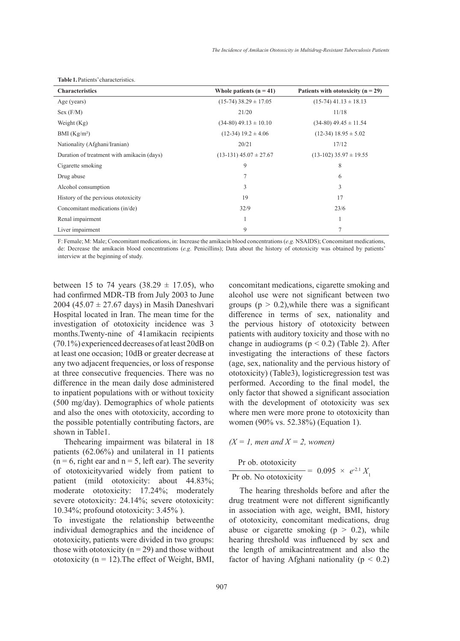| <b>Characteristics</b>                     | Whole patients $(n = 41)$    | Patients with ototoxicity ( $n = 29$ ) |
|--------------------------------------------|------------------------------|----------------------------------------|
| Age (years)                                | $(15-74)$ 38.29 $\pm$ 17.05  | $(15-74)$ 41.13 $\pm$ 18.13            |
| Sex (F/M)                                  | 21/20                        | 11/18                                  |
| Weight $(Kg)$                              | $(34-80)$ 49.13 $\pm$ 10.10  | $(34-80)$ 49.45 $\pm$ 11.54            |
| BMI $(Kg/m2)$                              | $(12-34)$ 19.2 $\pm$ 4.06    | $(12-34)$ 18.95 $\pm$ 5.02             |
| Nationality (Afghani/Iranian)              | 20/21                        | 17/12                                  |
| Duration of treatment with amikacin (days) | $(13-131)$ 45.07 $\pm$ 27.67 | $(13-102)$ 35.97 $\pm$ 19.55           |
| Cigarette smoking                          | 9                            | 8                                      |
| Drug abuse                                 | 7                            | 6                                      |
| Alcohol consumption                        | 3                            | 3                                      |
| History of the pervious ototoxicity        | 19                           | 17                                     |
| Concomitant medications (in/de)            | 32/9                         | 23/6                                   |
| Renal impairment                           |                              | 1                                      |
| Liver impairment                           | 9                            | 7                                      |

**Table 1.** Patients' characteristics.

F: Female; M: Male; Concomitant medications, in: Increase the amikacin blood concentrations (*e.g.* NSAIDS); Concomitant medications, de: Decrease the amikacin blood concentrations (*e.g*. Penicillins); Data about the history of ototoxicity was obtained by patients' interview at the beginning of study.

between 15 to 74 years  $(38.29 \pm 17.05)$ , who had confirmed MDR-TB from July 2003 to June 2004 (45.07  $\pm$  27.67 days) in Masih Daneshvari Hospital located in Iran. The mean time for the investigation of ototoxicity incidence was 3 months.Twenty-nine of 41amikacin recipients (70.1%) experienced decreases of at least 20dB on at least one occasion; 10dB or greater decrease at any two adjacent frequencies, or loss of response at three consecutive frequencies. There was no difference in the mean daily dose administered to inpatient populations with or without toxicity (500 mg/day). Demographics of whole patients and also the ones with ototoxicity, according to the possible potentially contributing factors, are shown in Table1.

Thehearing impairment was bilateral in 18 patients (62.06%) and unilateral in 11 patients  $(n = 6, right)$  right ear and  $n = 5$ , left ear). The severity of ototoxicityvaried widely from patient to patient (mild ototoxicity: about 44.83%; moderate ototoxicity: 17.24%; moderately severe ototoxicity: 24.14%; severe ototoxicity: 10.34%; profound ototoxicity: 3.45% ).

To investigate the relationship betweenthe individual demographics and the incidence of ototoxicity, patients were divided in two groups: those with ototoxicity ( $n = 29$ ) and those without ototoxicity ( $n = 12$ ). The effect of Weight, BMI, concomitant medications, cigarette smoking and alcohol use were not significant between two groups ( $p > 0.2$ ), while there was a significant difference in terms of sex, nationality and the pervious history of ototoxicity between patients with auditory toxicity and those with no change in audiograms ( $p < 0.2$ ) (Table 2). After investigating the interactions of these factors (age, sex, nationality and the pervious history of ototoxicity) (Table3), logisticregression test was performed. According to the final model, the only factor that showed a significant association with the development of ototoxicity was sex where men were more prone to ototoxicity than women (90% vs. 52.38%) (Equation 1).

 $(X = 1$ *, men and*  $X = 2$ *, women*)

Pr ob. ototoxicity

 $\overline{Pr}$  ob. No ototoxicity = 0.095  $\times e^{-2.1} X_1$ 

The hearing thresholds before and after the drug treatment were not different significantly in association with age, weight, BMI, history of ototoxicity, concomitant medications, drug abuse or cigarette smoking ( $p > 0.2$ ), while hearing threshold was influenced by sex and the length of amikacintreatment and also the factor of having Afghani nationality ( $p < 0.2$ )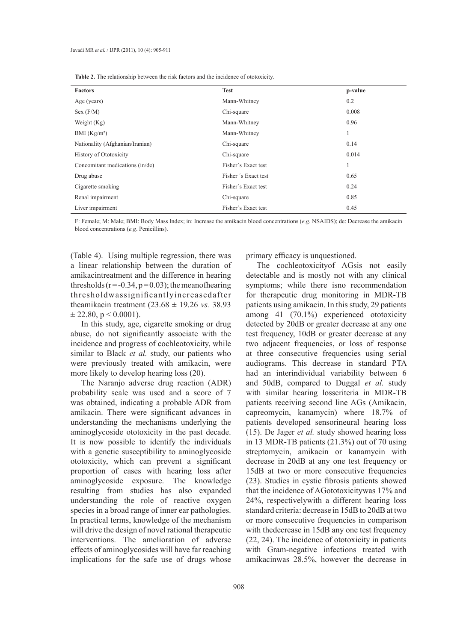| <b>Table 2.</b> The relationship between the risk factors and the incidence of ototoxicity. |  |  |
|---------------------------------------------------------------------------------------------|--|--|
|---------------------------------------------------------------------------------------------|--|--|

| <b>Factors</b>                  | <b>Test</b>          | p-value |
|---------------------------------|----------------------|---------|
| Age (years)                     | Mann-Whitney         | 0.2     |
| Sex (F/M)                       | Chi-square           | 0.008   |
| Weight $(Kg)$                   | Mann-Whitney         | 0.96    |
| BMI $(Kg/m2)$                   | Mann-Whitney         | 1       |
| Nationality (Afghanian/Iranian) | Chi-square           | 0.14    |
| History of Ototoxicity          | Chi-square           | 0.014   |
| Concomitant medications (in/de) | Fisher's Exact test  |         |
| Drug abuse                      | Fisher 's Exact test | 0.65    |
| Cigarette smoking               | Fisher's Exact test  | 0.24    |
| Renal impairment                | Chi-square           | 0.85    |
| Liver impairment                | Fisher's Exact test  | 0.45    |

F: Female; M: Male; BMI: Body Mass Index; in: Increase the amikacin blood concentrations (*e.g.* NSAIDS); de: Decrease the amikacin blood concentrations (*e.g*. Penicillins).

(Table 4). Using multiple regression, there was a linear relationship between the duration of amikacintreatment and the difference in hearing thresholds ( $r = -0.34$ ,  $p = 0.03$ ); the meanofhearing thresholdwassignificantlyincreasedafter theamikacin treatment (23.68 ± 19.26 *vs.* 38.93  $\pm$  22.80, p < 0.0001).

In this study, age, cigarette smoking or drug abuse, do not significantly associate with the incidence and progress of cochleotoxicity, while similar to Black *et al.* study, our patients who were previously treated with amikacin, were more likely to develop hearing loss (20).

The Naranjo adverse drug reaction (ADR) probability scale was used and a score of 7 was obtained, indicating a probable ADR from amikacin. There were significant advances in understanding the mechanisms underlying the aminoglycoside ototoxicity in the past decade. It is now possible to identify the individuals with a genetic susceptibility to aminoglycoside ototoxicity, which can prevent a significant proportion of cases with hearing loss after aminoglycoside exposure. The knowledge resulting from studies has also expanded understanding the role of reactive oxygen species in a broad range of inner ear pathologies. In practical terms, knowledge of the mechanism will drive the design of novel rational therapeutic interventions. The amelioration of adverse effects of aminoglycosides will have far reaching implications for the safe use of drugs whose

primary efficacy is unquestioned.

The cochleotoxicityof AGsis not easily detectable and is mostly not with any clinical symptoms; while there isno recommendation for therapeutic drug monitoring in MDR-TB patients using amikacin. In this study, 29 patients among 41 (70.1%) experienced ototoxicity detected by 20dB or greater decrease at any one test frequency, 10dB or greater decrease at any two adjacent frequencies, or loss of response at three consecutive frequencies using serial audiograms. This decrease in standard PTA had an interindividual variability between 6 and 50dB, compared to Duggal *et al.* study with similar hearing losscriteria in MDR-TB patients receiving second line AGs (Amikacin, capreomycin, kanamycin) where 18.7% of patients developed sensorineural hearing loss (15). De Jager *et al.* study showed hearing loss in 13 MDR-TB patients (21.3%) out of 70 using streptomycin, amikacin or kanamycin with decrease in 20dB at any one test frequency or 15dB at two or more consecutive frequencies (23). Studies in cystic fibrosis patients showed that the incidence of AGototoxicitywas 17% and 24%, respectivelywith a different hearing loss standard criteria: decrease in 15dB to 20dB at two or more consecutive frequencies in comparison with the decrease in 15dB any one test frequency (22, 24). The incidence of ototoxicity in patients with Gram-negative infections treated with amikacinwas 28.5%, however the decrease in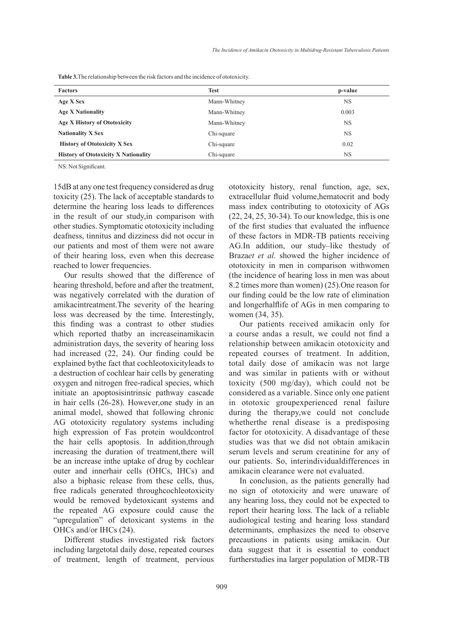| <b>Factors</b>                              | <b>Test</b>  | p-value   |
|---------------------------------------------|--------------|-----------|
| Age X Sex                                   | Mann-Whitney | <b>NS</b> |
| <b>Age X Nationality</b>                    | Mann-Whitney | 0.003     |
| Age X History of Ototoxicity                | Mann-Whitney | <b>NS</b> |
| <b>Nationality X Sex</b>                    | Chi-square   | <b>NS</b> |
| <b>History of Ototoxicity X Sex</b>         | Chi-square   | 0.02      |
| <b>History of Ototoxicity X Nationality</b> | Chi-square   | NS        |

**Table 3.**The relationship between the risk factors and the incidence of ototoxicity.

NS: Not Significant.

15dB at any one test frequency considered as drug toxicity (25). The lack of acceptable standards to determine the hearing loss leads to differences in the result of our study,in comparison with other studies. Symptomatic ototoxicity including deafness, tinnitus and dizziness did not occur in our patients and most of them were not aware of their hearing loss, even when this decrease reached to lower frequencies.

Our results showed that the difference of hearing threshold, before and after the treatment, was negatively correlated with the duration of amikacintreatment.The severity of the hearing loss was decreased by the time. Interestingly, this finding was a contrast to other studies which reported thatby an increaseinamikacin administration days, the severity of hearing loss had increased (22, 24). Our finding could be explained bythe fact that cochleotoxicityleads to a destruction of cochlear hair cells by generating oxygen and nitrogen free-radical species, which initiate an apoptosisintrinsic pathway cascade in hair cells (26-28). However,one study in an animal model, showed that following chronic AG ototoxicity regulatory systems including high expression of Fas protein wouldcontrol the hair cells apoptosis. In addition,through increasing the duration of treatment, there will be an increase inthe uptake of drug by cochlear outer and innerhair cells (OHCs, IHCs) and also a biphasic release from these cells, thus, free radicals generated throughcochleotoxicity would be removed bydetoxicant systems and the repeated AG exposure could cause the "upregulation" of detoxicant systems in the OHCs and/or IHCs (24).

Different studies investigated risk factors including largetotal daily dose, repeated courses of treatment, length of treatment, pervious ototoxicity history, renal function, age, sex, extracellular fluid volume,hematocrit and body mass index contributing to ototoxicity of AGs (22, 24, 25, 30-34). To our knowledge, this is one of the first studies that evaluated the influence of these factors in MDR-TB patients receiving AG.In addition, our study–like thestudy of Braza*et et al.* showed the higher incidence of ototoxicity in men in comparison withwomen (the incidence of hearing loss in men was about 8.2 times more than women) (25).One reason for our finding could be the low rate of elimination and longerhalflife of AGs in men comparing to women (34, 35).

Our patients received amikacin only for a course andas a result, we could not find a relationship between amikacin ototoxicity and repeated courses of treatment. In addition, total daily dose of amikacin was not large and was similar in patients with or without toxicity (500 mg/day), which could not be considered as a variable. Since only one patient in ototoxic groupexperienced renal failure during the therapy,we could not conclude whetherthe renal disease is a predisposing factor for ototoxicity. A disadvantage of these studies was that we did not obtain amikacin serum levels and serum creatinine for any of our patients. So, interindividualdifferences in amikacin clearance were not evaluated.

In conclusion, as the patients generally had no sign of ototoxicity and were unaware of any hearing loss, they could not be expected to report their hearing loss. The lack of a reliable audiological testing and hearing loss standard determinants, emphasizes the need to observe precautions in patients using amikacin. Our data suggest that it is essential to conduct furtherstudies ina larger population of MDR-TB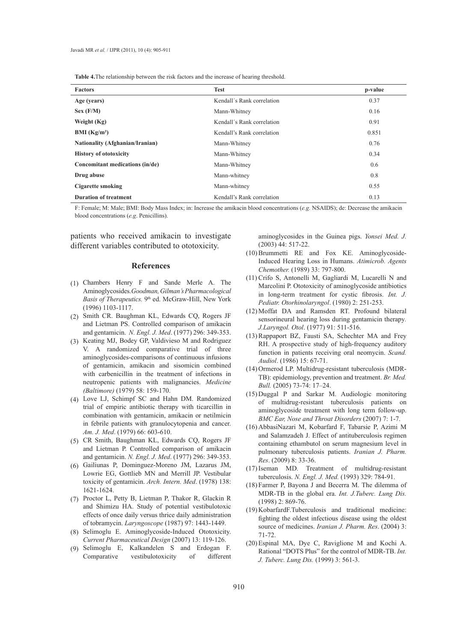| <b>Table 4.</b> The relationship between the risk factors and the increase of hearing threshold. |  |  |  |
|--------------------------------------------------------------------------------------------------|--|--|--|
|--------------------------------------------------------------------------------------------------|--|--|--|

| <b>Factors</b>                         | <b>Test</b>                | p-value |
|----------------------------------------|----------------------------|---------|
| Age (years)                            | Kendall's Rank correlation | 0.37    |
| Sex (F/M)                              | Mann-Whitney               | 0.16    |
| Weight (Kg)                            | Kendall's Rank correlation | 0.91    |
| BMI $(Kg/m2)$                          | Kendall's Rank correlation | 0.851   |
| <b>Nationality (Afghanian/Iranian)</b> | Mann-Whitney               | 0.76    |
| <b>History of ototoxicity</b>          | Mann-Whitney               | 0.34    |
| Concomitant medications (in/de)        | Mann-Whitney               | 0.6     |
| Drug abuse                             | Mann-whitney               | 0.8     |
| Cigarette smoking                      | Mann-whitney               | 0.55    |
| <b>Duration of treatment</b>           | Kendall's Rank correlation | 0.13    |

F: Female; M: Male; BMI: Body Mass Index; in: Increase the amikacin blood concentrations (*e.g.* NSAIDS); de: Decrease the amikacin blood concentrations (*e.g*. Penicillins).

patients who received amikacin to investigate different variables contributed to ototoxicity.

#### **References**

- Chambers Henry F and Sande Merle A. The (1) Aminoglycosides.*Goodman, Gilman's Pharmacological*  Basis of Therapeutics. 9<sup>th</sup> ed. McGraw-Hill, New York (1996) 1103-1117.
- (2) Smith CR. Baughman KL, Edwards CQ, Rogers JF and Lietman PS. Controlled comparison of amikacin and gentamicin. *N. Engl. J. Med*. (1977) 296: 349-353.
- (3) Keating MJ, Bodey GP, Valdivieso M and Rodriguez V. A randomized comparative trial of three aminoglycosides-comparisons of continuous infusions of gentamicin, amikacin and sisomicin combined with carbenicillin in the treatment of infections in neutropenic patients with malignancies. *Medicine (Baltimore)* (1979) 58: 159-170.
- Love LJ, Schimpf SC and Hahn DM. Randomized (4) trial of empiric antibiotic therapy with ticarcillin in combination with gentamicin, amikacin or netilmicin in febrile patients with granulocytopenia and cancer. *Am. J. Med*. (1979) 66: 603-610.
- CR Smith, Baughman KL, Edwards CQ, Rogers JF (5) and Lietman P. Controlled comparison of amikacin and gentamicin. *N. Engl. J. Med*. (1977) 296: 349-353.
- Gailiunas P, Dominguez-Moreno JM, Lazarus JM, (6) Lowrie EG, Gottlieb MN and Merrill JP. Vestibular toxicity of gentamicin. *Arch. Intern. Med*. (1978) 138: 1621-1624.
- (7) Proctor L, Petty B, Lietman P, Thakor R, Glackin R and Shimizu HA. Study of potential vestibulotoxic effects of once daily versus thrice daily administration of tobramycin. *Laryngoscope* (1987) 97: 1443-1449.
- (8) Selimoglu E. Aminoglycoside-Induced Ototoxicity. *Current Pharmaceutical Design* (2007) 13: 119-126.
- (9) Selimoglu E, Kalkandelen S and Erdogan F. Comparative vestibulotoxicity of different

aminoglycosides in the Guinea pigs. *Yonsei Med. J.* (2003) 44: 517-22.

- (10) Brummetti RE and Fox KE. Aminoglycoside-Induced Hearing Loss in Humans. *Atimicrob. Agents Chemother.* (1989) 33: 797-800.
- $(11)$  Crifo S, Antonelli M, Gagliardi M, Lucarelli N and Marcolini P. Ototoxicity of aminoglycoside antibiotics in long-term treatment for cystic fibrosis. *Int. J. Pediatr. Otorhinolaryngol*. (1980) 2: 251-253.
- (12) Moffat DA and Ramsden RT. Profound bilateral sensorineural hearing loss during gentamicin therapy*. J.Laryngol. Otol*. (1977) 91: 511-516.
- (13) Rappaport BZ, Fausti SA, Schechter MA and Frey RH. A prospective study of high-frequency auditory function in patients receiving oral neomycin. *Scand. Audiol*. (1986) 15: 67-71.
- (14) Ormerod LP. Multidrug-resistant tuberculosis (MDR-TB): epidemiology, prevention and treatment. *Br. Med. Bull.* (2005) 73-74: 17–24.
- $(15)$  Duggal P and Sarkar M. Audiologic monitoring of multidrug-resistant tuberculosis patients on aminoglycoside treatment with long term follow-up. *BMC Ear, Nose and Throat Disorders* (2007) 7: 1-7.
- (16) AbbasiNazari M, Kobarfard F, Tabarsie P, Azimi M and Salamzadeh J. Effect of antituberculosis regimen containing ethambutol on serum magnesium level in pulmonary tuberculosis patients. *Iranian J. Pharm. Res*. (2009) 8: 33-36.
- (17) Iseman MD. Treatment of multidrug-resistant tuberculosis. *N. Engl. J. Med.* (1993) 329: 784-91.
- (18) Farmer P, Bayona J and Becerra M. The dilemma of MDR-TB in the global era. *Int. J.Tuberc. Lung Dis.* (1998) 2: 869-76.
- (19) KobarfardF.Tuberculosis and traditional medicine: fighting the oldest infectious disease using the oldest source of medicines. *Iranian J. Pharm. Res*. (2004) 3: 71-72.
- Espinal MA, Dye C, Raviglione M and Kochi A. (20)Rational "DOTS Plus" for the control of MDR-TB. *Int. J. Tuberc. Lung Dis.* (1999) 3: 561-3.